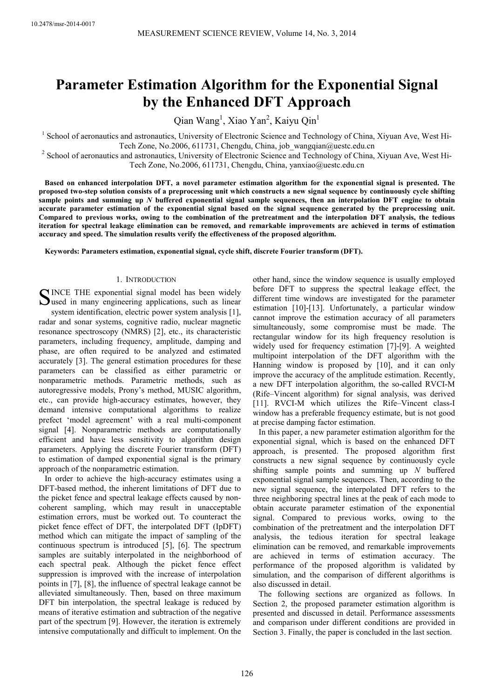# **Parameter Estimation Algorithm for the Exponential Signal by the Enhanced DFT Approach**

Qian Wang<sup>1</sup>, Xiao Yan<sup>2</sup>, Kaiyu Qin<sup>1</sup>

<sup>1</sup> School of aeronautics and astronautics, University of Electronic Science and Technology of China, Xiyuan Ave, West Hi-Tech Zone, No.2006, 611731, Chengdu, China, job\_wangqian@uestc.edu.cn

<sup>2</sup> School of aeronautics and astronautics, University of Electronic Science and Technology of China, Xiyuan Ave, West Hi-Tech Zone, No.2006, 611731, Chengdu, China, yanxiao@uestc.edu.cn

**Based on enhanced interpolation DFT, a novel parameter estimation algorithm for the exponential signal is presented. The proposed two-step solution consists of a preprocessing unit which constructs a new signal sequence by continuously cycle shifting sample points and summing up** *N* **buffered exponential signal sample sequences, then an interpolation DFT engine to obtain accurate parameter estimation of the exponential signal based on the signal sequence generated by the preprocessing unit. Compared to previous works, owing to the combination of the pretreatment and the interpolation DFT analysis, the tedious iteration for spectral leakage elimination can be removed, and remarkable improvements are achieved in terms of estimation accuracy and speed. The simulation results verify the effectiveness of the proposed algorithm.** 

**Keywords: Parameters estimation, exponential signal, cycle shift, discrete Fourier transform (DFT).** 

# 1. INTRODUCTION

SINCE THE exponential signal model has been widely<br>Sused in many engineering applications, such as linear  $\sum$ used in many engineering applications, such as linear system identification, electric power system analysis [1], radar and sonar systems, cognitive radio, nuclear magnetic resonance spectroscopy (NMRS) [2], etc., its characteristic parameters, including frequency, amplitude, damping and phase, are often required to be analyzed and estimated accurately [3]. The general estimation procedures for these parameters can be classified as either parametric or nonparametric methods. Parametric methods, such as autoregressive models, Prony's method, MUSIC algorithm, etc., can provide high-accuracy estimates, however, they demand intensive computational algorithms to realize prefect 'model agreement' with a real multi-component signal [4]. Nonparametric methods are computationally efficient and have less sensitivity to algorithm design parameters. Applying the discrete Fourier transform (DFT) to estimation of damped exponential signal is the primary approach of the nonparametric estimation.

In order to achieve the high-accuracy estimates using a DFT-based method, the inherent limitations of DFT due to the picket fence and spectral leakage effects caused by noncoherent sampling, which may result in unacceptable estimation errors, must be worked out. To counteract the picket fence effect of DFT, the interpolated DFT (IpDFT) method which can mitigate the impact of sampling of the continuous spectrum is introduced [5], [6]. The spectrum samples are suitably interpolated in the neighborhood of each spectral peak. Although the picket fence effect suppression is improved with the increase of interpolation points in [7], [8], the influence of spectral leakage cannot be alleviated simultaneously. Then, based on three maximum DFT bin interpolation, the spectral leakage is reduced by means of iterative estimation and subtraction of the negative part of the spectrum [9]. However, the iteration is extremely intensive computationally and difficult to implement. On the

other hand, since the window sequence is usually employed before DFT to suppress the spectral leakage effect, the different time windows are investigated for the parameter estimation [10]-[13]. Unfortunately, a particular window cannot improve the estimation accuracy of all parameters simultaneously, some compromise must be made. The rectangular window for its high frequency resolution is widely used for frequency estimation [7]-[9]. A weighted multipoint interpolation of the DFT algorithm with the Hanning window is proposed by [10], and it can only improve the accuracy of the amplitude estimation. Recently, a new DFT interpolation algorithm, the so-called RVCI-M (Rife–Vincent algorithm) for signal analysis, was derived [11]. RVCI-M which utilizes the Rife–Vincent class-I window has a preferable frequency estimate, but is not good at precise damping factor estimation.

In this paper, a new parameter estimation algorithm for the exponential signal, which is based on the enhanced DFT approach, is presented. The proposed algorithm first constructs a new signal sequence by continuously cycle shifting sample points and summing up *N* buffered exponential signal sample sequences. Then, according to the new signal sequence, the interpolated DFT refers to the three neighboring spectral lines at the peak of each mode to obtain accurate parameter estimation of the exponential signal. Compared to previous works, owing to the combination of the pretreatment and the interpolation DFT analysis, the tedious iteration for spectral leakage elimination can be removed, and remarkable improvements are achieved in terms of estimation accuracy. The performance of the proposed algorithm is validated by simulation, and the comparison of different algorithms is also discussed in detail.

The following sections are organized as follows. In Section 2, the proposed parameter estimation algorithm is presented and discussed in detail. Performance assessments and comparison under different conditions are provided in Section 3. Finally, the paper is concluded in the last section.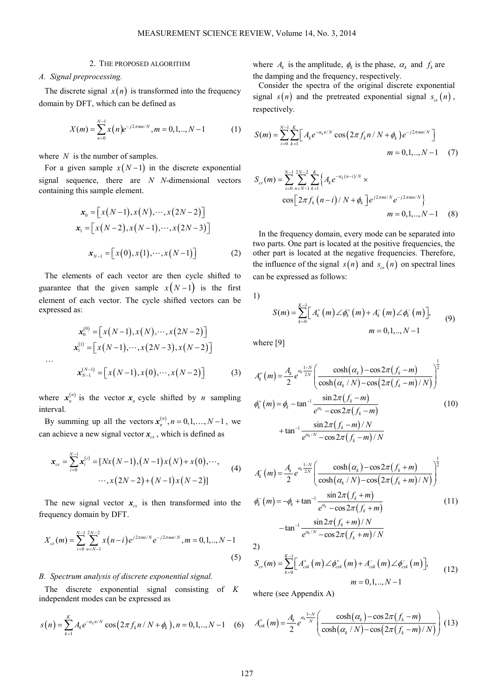# 2. THE PROPOSED ALGORITHM

# *A. Signal preprocessing.*

The discrete signal  $x(n)$  is transformed into the frequency domain by DFT, which can be defined as

$$
X(m) = \sum_{n=0}^{N-1} x(n) e^{-j2\pi mn/N}, m = 0, 1, ..., N-1
$$
 (1)

where *N* is the number of samples.

For a given sample  $x(N-1)$  in the discrete exponential signal sequence, there are *N N*-dimensional vectors containing this sample element.

$$
\mathbf{x}_0 = [x(N-1), x(N), \cdots, x(2N-2)]
$$
  
\n
$$
\mathbf{x}_1 = [x(N-2), x(N-1), \cdots, x(2N-3)]
$$
  
\n
$$
\mathbf{x}_{N-1} = [x(0), x(1), \cdots, x(N-1)]
$$
 (2)

The elements of each vector are then cycle shifted to guarantee that the given sample  $x(N-1)$  is the first element of each vector. The cycle shifted vectors can be expressed as:

$$
\mathbf{x}_{0}^{(0)} = \left[ x(N-1), x(N), \cdots, x(2N-2) \right]
$$

$$
\mathbf{x}_{1}^{(1)} = \left[ x(N-1), \cdots, x(2N-3), x(N-2) \right]
$$

$$
\cdots
$$

$$
\mathbf{x}_{N-1}^{(N-1)} = \left[ x(N-1), x(0), \cdots, x(N-2) \right]
$$
(3)

where  $x_n^{(n)}$  is the vector  $x_n$  cycle shifted by *n* sampling interval.

By summing up all the vectors  $x_n^{(n)}$ ,  $n = 0,1,..., N-1$ , we can achieve a new signal vector  $x_{cs}$ , which is defined as

$$
\mathbf{x}_{cs} = \sum_{i=0}^{N-1} \mathbf{x}_{i}^{(i)} = [Nx(N-1), (N-1)x(N) + x(0), \cdots, \cdots, x(2N-2) + (N-1)x(N-2)] \tag{4}
$$

The new signal vector  $x_{cs}$  is then transformed into the frequency domain by DFT.

$$
X_{cs}(m) = \sum_{i=0}^{N-1} \sum_{n=N-1}^{2N-2} x(n-i) e^{j2\pi m i/N} e^{-j2\pi mn/N}, m = 0, 1, ..., N-1
$$
\n(5)

# *B. Spectrum analysis of discrete exponential signal.*

The discrete exponential signal consisting of *K* independent modes can be expressed as

$$
s(n) = \sum_{k=1}^{K} A_k e^{-\alpha_k n/N} \cos(2\pi f_k n / N + \phi_k), n = 0, 1, ..., N - 1 \quad (6)
$$

where  $A_k$  is the amplitude,  $\phi_k$  is the phase,  $\alpha_k$  and  $f_k$  are the damping and the frequency, respectively.

Consider the spectra of the original discrete exponential signal  $s(n)$  and the pretreated exponential signal  $s_{cs}(n)$ , respectively.

$$
S(m) = \sum_{i=0}^{N-1} \sum_{k=1}^{K} \left[ A_k e^{-\alpha_k n/N} \cos \left( 2\pi f_k n / N + \phi_k \right) e^{-j2\pi mn/N} \right]
$$
  

$$
m = 0, 1, ..., N-1 \quad (7)
$$

$$
S_{cs}(m) = \sum_{i=0}^{N-1} \sum_{n=N-1}^{2N-2} \sum_{k=1}^{K} \left\{ A_k e^{-\alpha_k (n-i)/N} \times \cos \left[ 2\pi f_k (n-i) / N + \phi_k \right] e^{j2\pi m i/N} e^{-j2\pi m n/N} \right\}
$$
  

$$
m = 0, 1, ..., N-1
$$
 (8)

In the frequency domain, every mode can be separated into two parts. One part is located at the positive frequencies, the other part is located at the negative frequencies. Therefore, the influence of the signal  $s(n)$  and  $s_{cs}(n)$  on spectral lines can be expressed as follows:

1)

$$
S(m) = \sum_{k=0}^{K-1} \left[ A_k^+(m) \angle \phi_k^+(m) + A_k^-(m) \angle \phi_k^-(m) \right],
$$
  
\n
$$
m = 0, 1, ..., N-1
$$
\n(9)

where [9]

$$
A_{k}^{+}(m) = \frac{A_{k}}{2} e^{\alpha_{k} \frac{1-N}{2N}} \left( \frac{\cosh(\alpha_{k}) - \cos 2\pi (f_{k} - m)}{\cosh(\alpha_{k}/N) - \cos(2\pi (f_{k} - m)/N)} \right)^{\frac{1}{2}}
$$
  

$$
\phi_{k}^{+}(m) = \phi_{k} - \tan^{-1} \frac{\sin 2\pi (f_{k} - m)}{e^{\alpha_{k}} - \cos 2\pi (f_{k} - m)} + \tan^{-1} \frac{\sin 2\pi (f_{k} - m)/N}{e^{\alpha_{k}/N} - \cos 2\pi (f_{k} - m)/N}
$$
(10)

$$
A_{k}^{-}(m) = \frac{A_{k}}{2} e^{\alpha_{k} \frac{1-N}{2N}} \left( \frac{\cosh(\alpha_{k}) - \cos 2\pi (f_{k} + m)}{\cosh(\alpha_{k}/N) - \cos(2\pi (f_{k} + m)/N)} \right)^{\frac{1}{2}}
$$
  
\n
$$
\phi_{k}^{-}(m) = -\phi_{k} + \tan^{-1} \frac{\sin 2\pi (f_{k} + m)}{e^{\alpha_{k}} - \cos 2\pi (f_{k} + m)}
$$
(11)  
\n
$$
-\tan^{-1} \frac{\sin 2\pi (f_{k} + m)/N}{e^{\alpha_{k}/N} - \cos 2\pi (f_{k} + m)/N}
$$
  
\n2)  
\n
$$
S_{cs}(m) = \sum_{k=0}^{K-1} \left[ A_{csk}^{+}(m) \angle \phi_{csk}^{+}(m) + A_{csk}^{-}(m) \angle \phi_{csk}^{-}(m) \right],
$$
(12)

 $m = 0, 1, ..., N$ where (see Appendix A)

 $c_s(m)$  -  $\sum_{k=0}$   $\left[\begin{array}{c}T_{csk}(m) \sim \varphi_{csk}(m) + T_{csk}(m) \sim \varphi_{csk}\end{array}\right]$ 

$$
A_{\text{csk}}^{+}(m) = \frac{A_k}{2} e^{\alpha_k \frac{1-N}{N}} \left( \frac{\cosh(\alpha_k) - \cos 2\pi (f_k - m)}{\cosh(\alpha_k / N) - \cos(2\pi (f_k - m) / N)} \right)
$$
(13)

 $0,1,.., N-1$ 

 $= 0, 1, ..., N -$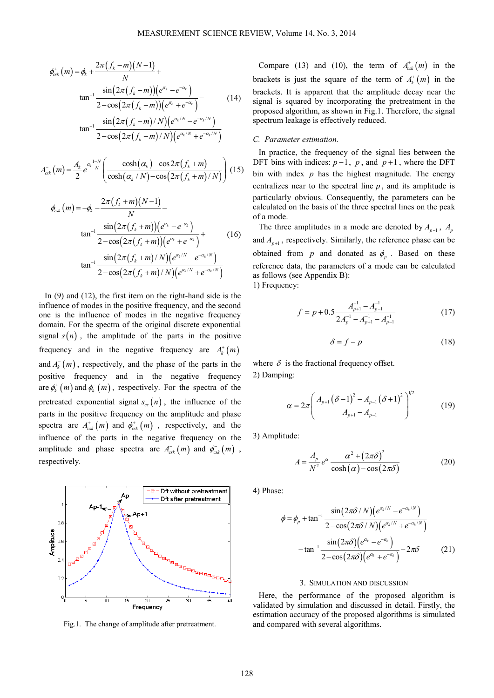$$
\phi_{csk}^{+}(m) = \phi_k + \frac{2\pi (f_k - m)(N - 1)}{N} + \tan^{-1} \frac{\sin(2\pi (f_k - m))(e^{\alpha_k} - e^{-\alpha_k})}{2 - \cos(2\pi (f_k - m))(e^{\alpha_k} + e^{-\alpha_k})} - \sin(2\pi (f_k - m)/N)(e^{\alpha_k/N} - e^{-\alpha_k/N})
$$
\n(14)

$$
\tan^{-1} \frac{\sin (2\pi (f_k - m)/N)(e^{\alpha_k/N} - e^{-\alpha_k/N})}{2 - \cos (2\pi (f_k - m)/N)(e^{\alpha_k/N} + e^{-\alpha_k/N})}
$$

$$
A_{\text{csk}}^{-}(m) = \frac{A_k}{2} e^{\alpha_k \frac{1-N}{N}} \left( \frac{\cosh(\alpha_k) - \cos 2\pi (f_k + m)}{\cosh(\alpha_k / N) - \cos(2\pi (f_k + m) / N)} \right) (15)
$$

$$
\phi_{\rm csk}^{-}(m) = -\phi_k - \frac{2\pi (f_k + m)(N-1)}{N} - \tan^{-1} \frac{\sin(2\pi (f_k + m))(e^{\alpha_k} - e^{-\alpha_k})}{2 - \cos(2\pi (f_k + m))(e^{\alpha_k} + e^{-\alpha_k})} + \tan^{-1} \frac{\sin(2\pi (f_k + m)/N)(e^{\alpha_k/N} - e^{-\alpha_k/N})}{2 - \cos(2\pi (f_k + m)/N)(e^{\alpha_k/N} + e^{-\alpha_k/N})}
$$
\n(16)

In (9) and (12), the first item on the right-hand side is the influence of modes in the positive frequency, and the second one is the influence of modes in the negative frequency domain. For the spectra of the original discrete exponential signal  $s(n)$ , the amplitude of the parts in the positive frequency and in the negative frequency are  $A_k^+(m)$ and  $A_k^-(m)$ , respectively, and the phase of the parts in the positive frequency and in the negative frequency are  $\phi_k^{\dagger}(m)$  and  $\phi_k^{\dagger}(m)$ , respectively. For the spectra of the pretreated exponential signal  $s_{cs}(n)$ , the influence of the parts in the positive frequency on the amplitude and phase spectra are  $A_{csk}^+(m)$  and  $\phi_{csk}^+(m)$ , respectively, and the influence of the parts in the negative frequency on the amplitude and phase spectra are  $A_{csk}^- (m)$  and  $\phi_{csk}^- (m)$ , respectively.



Fig.1. The change of amplitude after pretreatment.

Compare (13) and (10), the term of  $A_{csk}^+(m)$  in the brackets is just the square of the term of  $A_k^+(m)$  in the brackets. It is apparent that the amplitude decay near the signal is squared by incorporating the pretreatment in the proposed algorithm, as shown in Fig.1. Therefore, the signal spectrum leakage is effectively reduced.

# *C. Parameter estimation.*

In practice, the frequency of the signal lies between the DFT bins with indices:  $p-1$ ,  $p$ , and  $p+1$ , where the DFT bin with index *p* has the highest magnitude. The energy centralizes near to the spectral line *p* , and its amplitude is particularly obvious. Consequently, the parameters can be calculated on the basis of the three spectral lines on the peak of a mode.

The three amplitudes in a mode are denoted by  $A_{p-1}$ ,  $A_p$ and  $A_{p+1}$ , respectively. Similarly, the reference phase can be obtained from *p* and donated as  $\phi_p$ . Based on these reference data, the parameters of a mode can be calculated as follows (see Appendix B): 1) Frequency:

$$
f = p + 0.5 \frac{A_{p+1}^{-1} - A_{p-1}^{-1}}{2A_p^{-1} - A_{p+1}^{-1} - A_{p-1}^{-1}}
$$
(17)

$$
\delta = f - p \tag{18}
$$

where  $\delta$  is the fractional frequency offset. 2) Damping:

$$
\alpha = 2\pi \left( \frac{A_{p+1} (\delta - 1)^2 - A_{p-1} (\delta + 1)^2}{A_{p+1} - A_{p-1}} \right)^{1/2}
$$
(19)

3) Amplitude:

$$
A = \frac{A_p}{N^2} e^{\alpha} \frac{\alpha^2 + (2\pi\delta)^2}{\cosh(\alpha) - \cos(2\pi\delta)}
$$
(20)

4) Phase:

$$
\phi = \phi_p + \tan^{-1} \frac{\sin(2\pi\delta/N) (e^{\alpha_k/N} - e^{-\alpha_k/N})}{2 - \cos(2\pi\delta/N) (e^{\alpha_k/N} + e^{-\alpha_k/N})}
$$

$$
-\tan^{-1} \frac{\sin(2\pi\delta) (e^{\alpha_k} - e^{-\alpha_k})}{2 - \cos(2\pi\delta) (e^{\alpha_k} + e^{-\alpha_k})} - 2\pi\delta
$$
(21)

#### 3. SIMULATION AND DISCUSSION

Here, the performance of the proposed algorithm is validated by simulation and discussed in detail. Firstly, the estimation accuracy of the proposed algorithms is simulated and compared with several algorithms.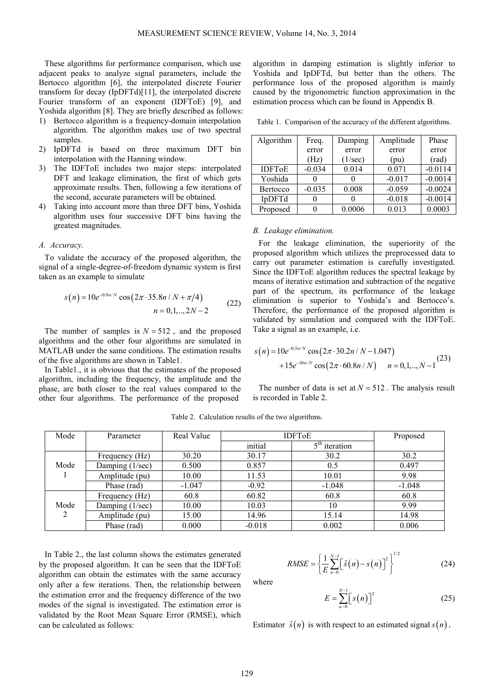These algorithms for performance comparison, which use adjacent peaks to analyze signal parameters, include the Bertocco algorithm [6], the interpolated discrete Fourier transform for decay (IpDFTd)[11], the interpolated discrete Fourier transform of an exponent (IDFToE) [9], and Yoshida algorithm [8]. They are briefly described as follows:

- 1) Bertocco algorithm is a frequency-domain interpolation algorithm. The algorithm makes use of two spectral samples.
- 2) IpDFTd is based on three maximum DFT bin interpolation with the Hanning window.
- 3) The IDFToE includes two major steps: interpolated DFT and leakage elimination, the first of which gets approximate results. Then, following a few iterations of the second, accurate parameters will be obtained.
- 4) Taking into account more than three DFT bins, Yoshida algorithm uses four successive DFT bins having the greatest magnitudes.

#### *A. Accuracy.*

To validate the accuracy of the proposed algorithm, the signal of a single-degree-of-freedom dynamic system is first taken as an example to simulate

$$
s(n) = 10e^{-0.9n/N} \cos(2\pi \cdot 35.8n/N + \pi/4)
$$
  
\n
$$
n = 0, 1, ..., 2N - 2
$$
\n(22)

The number of samples is  $N = 512$ , and the proposed algorithms and the other four algorithms are simulated in MATLAB under the same conditions. The estimation results of the five algorithms are shown in Table1.

In Table1., it is obvious that the estimates of the proposed algorithm, including the frequency, the amplitude and the phase, are both closer to the real values compared to the other four algorithms. The performance of the proposed algorithm in damping estimation is slightly inferior to Yoshida and IpDFTd, but better than the others. The performance loss of the proposed algorithm is mainly caused by the trigonometric function approximation in the estimation process which can be found in Appendix B.

Table 1. Comparison of the accuracy of the different algorithms.

| Algorithm                | Freq.    | Damping | Amplitude | Phase     |
|--------------------------|----------|---------|-----------|-----------|
|                          | error    | error   | error     | error     |
|                          | (Hz)     | (1/sec) | (pu)      | (rad)     |
| <b>IDFT<sub>o</sub>E</b> | $-0.034$ | 0.014   | 0.071     | $-0.0114$ |
| Yoshida                  |          |         | $-0.017$  | $-0.0014$ |
| <b>Bertocco</b>          | $-0.035$ | 0.008   | $-0.059$  | $-0.0024$ |
| IpDFTd                   |          |         | $-0.018$  | $-0.0014$ |
| Proposed                 |          | 0.0006  | 0.013     | 0.0003    |

## *B. Leakage elimination.*

For the leakage elimination, the superiority of the proposed algorithm which utilizes the preprocessed data to carry out parameter estimation is carefully investigated. Since the IDFToE algorithm reduces the spectral leakage by means of iterative estimation and subtraction of the negative part of the spectrum, its performance of the leakage elimination is superior to Yoshida's and Bertocco's. Therefore, the performance of the proposed algorithm is validated by simulation and compared with the IDFToE. Take a signal as an example, i.e.

$$
s(n) = 10e^{-0.5n/N} \cos(2\pi \cdot 30.2n/N - 1.047)
$$
  
+15e<sup>-10n/N</sup> cos(2\pi \cdot 60.8n/N) n = 0,1,.., N-1<sup>(23)</sup>

The number of data is set at  $N = 512$ . The analysis result is recorded in Table 2.

| Mode      | Parameter       | Real Value | <b>IDFToE</b> |                                      | Proposed |
|-----------|-----------------|------------|---------------|--------------------------------------|----------|
|           |                 |            | initial       | $\overline{5}^{\text{th}}$ iteration |          |
| Mode      | Frequency (Hz)  | 30.20      | 30.17         | 30.2                                 | 30.2     |
|           | Damping (1/sec) | 0.500      | 0.857         | 0.5                                  | 0.497    |
|           | Amplitude (pu)  | 10.00      | 11.53         | 10.01                                | 9.98     |
|           | Phase (rad)     | $-1.047$   | $-0.92$       | $-1.048$                             | $-1.048$ |
| Mode<br>2 | Frequency (Hz)  | 60.8       | 60.82         | 60.8                                 | 60.8     |
|           | Damping (1/sec) | 10.00      | 10.03         | 10                                   | 9.99     |
|           | Amplitude (pu)  | 15.00      | 14.96         | 15.14                                | 14.98    |
|           | Phase (rad)     | 0.000      | $-0.018$      | 0.002                                | 0.006    |

Table 2. Calculation results of the two algorithms.

In Table 2., the last column shows the estimates generated by the proposed algorithm. It can be seen that the IDFToE algorithm can obtain the estimates with the same accuracy only after a few iterations. Then, the relationship between the estimation error and the frequency difference of the two modes of the signal is investigated. The estimation error is validated by the Root Mean Square Error (RMSE), which can be calculated as follows:

$$
RMSE = \left\{ \frac{1}{E} \sum_{n=0}^{N-1} \left[ \hat{s}(n) - s(n) \right]^2 \right\}^{1/2}
$$
 (24)

where

$$
E = \sum_{n=0}^{N-1} \left[ s(n) \right]^2 \tag{25}
$$

Estimator  $\hat{s}(n)$  is with respect to an estimated signal  $s(n)$ .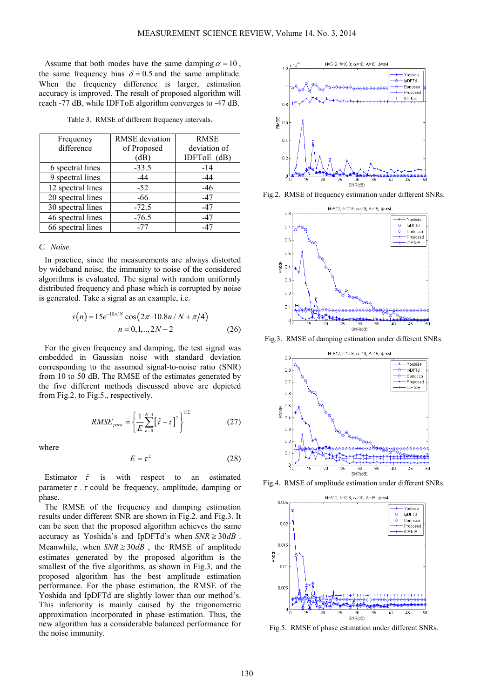Assume that both modes have the same damping  $\alpha = 10$ , the same frequency bias  $\delta = 0.5$  and the same amplitude. When the frequency difference is larger, estimation accuracy is improved. The result of proposed algorithm will reach -77 dB, while IDFToE algorithm converges to -47 dB.

Table 3. RMSE of different frequency intervals.

| Frequency         | RMSE deviation | <b>RMSE</b>  |  |
|-------------------|----------------|--------------|--|
| difference        | of Proposed    | deviation of |  |
|                   | (dB)           | IDFToE (dB)  |  |
| 6 spectral lines  | $-33.5$        | $-14$        |  |
| 9 spectral lines  | -44            | $-44$        |  |
| 12 spectral lines | $-52$          | $-46$        |  |
| 20 spectral lines | -66            | -47          |  |
| 30 spectral lines | $-72.5$        | -47          |  |
| 46 spectral lines | $-76.5$        | $-47$        |  |
| 66 spectral lines | $-77$          | -47          |  |

# *C. Noise.*

In practice, since the measurements are always distorted by wideband noise, the immunity to noise of the considered algorithms is evaluated. The signal with random uniformly distributed frequency and phase which is corrupted by noise is generated. Take a signal as an example, i.e.

$$
s(n) = 15e^{-10n/N} \cos(2\pi \cdot 10.8n/N + \pi/4)
$$
  

$$
n = 0, 1, ..., 2N - 2
$$
 (26)

For the given frequency and damping, the test signal was embedded in Gaussian noise with standard deviation corresponding to the assumed signal-to-noise ratio (SNR) from 10 to 50 dB. The RMSE of the estimates generated by the five different methods discussed above are depicted from Fig.2. to Fig.5., respectively.

$$
RMSE_{para} = \left\{ \frac{1}{E} \sum_{n=0}^{N-1} \left[ \hat{\tau} - \tau \right]^2 \right\}^{1/2}
$$
 (27)

where

$$
E = \tau^2 \tag{28}
$$

Estimator  $\hat{\tau}$  is with respect to an estimated parameter  $\tau$ .  $\tau$  could be frequency, amplitude, damping or phase.

The RMSE of the frequency and damping estimation results under different SNR are shown in Fig.2. and Fig.3. It can be seen that the proposed algorithm achieves the same accuracy as Yoshida's and IpDFTd's when  $SNR \geq 30dB$ . Meanwhile, when  $SNR \geq 30$  , the RMSE of amplitude estimates generated by the proposed algorithm is the smallest of the five algorithms, as shown in Fig.3, and the proposed algorithm has the best amplitude estimation performance. For the phase estimation, the RMSE of the Yoshida and IpDFTd are slightly lower than our method's. This inferiority is mainly caused by the trigonometric approximation incorporated in phase estimation. Thus, the new algorithm has a considerable balanced performance for the noise immunity.



Fig.2. RMSE of frequency estimation under different SNRs.



Fig.3. RMSE of damping estimation under different SNRs.



Fig.4. RMSE of amplitude estimation under different SNRs.



Fig.5. RMSE of phase estimation under different SNRs.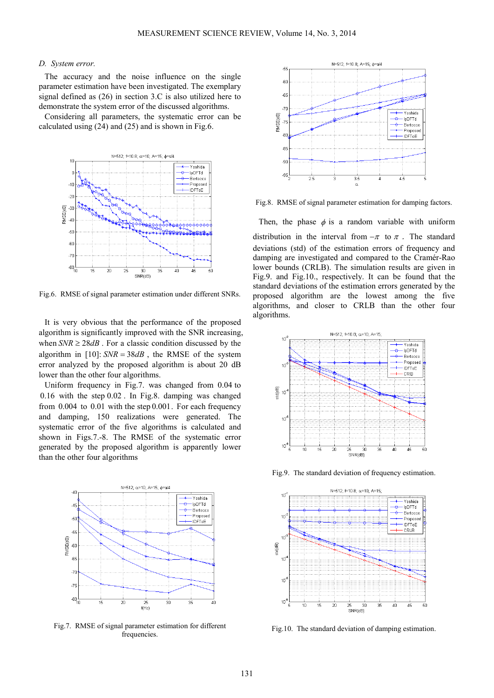#### *D. System error.*

The accuracy and the noise influence on the single parameter estimation have been investigated. The exemplary signal defined as (26) in section 3.C is also utilized here to demonstrate the system error of the discussed algorithms.

Considering all parameters, the systematic error can be calculated using (24) and (25) and is shown in Fig.6.



Fig.6. RMSE of signal parameter estimation under different SNRs.

It is very obvious that the performance of the proposed algorithm is significantly improved with the SNR increasing, when  $SNR \geq 28 dB$ . For a classic condition discussed by the algorithm in  $[10]$ : *SNR* = 38*dB*, the RMSE of the system error analyzed by the proposed algorithm is about 20 dB lower than the other four algorithms.

Uniform frequency in Fig.7. was changed from 0.04 to 0.16 with the step 0.02 . In Fig.8. damping was changed from  $0.004$  to  $0.01$  with the step  $0.001$ . For each frequency and damping, 150 realizations were generated. The systematic error of the five algorithms is calculated and shown in Figs.7.-8. The RMSE of the systematic error generated by the proposed algorithm is apparently lower than the other four algorithms



Fig.7. RMSE of signal parameter estimation for different frequencies.



Fig.8. RMSE of signal parameter estimation for damping factors.

Then, the phase  $\phi$  is a random variable with uniform distribution in the interval from  $-\pi$  to  $\pi$ . The standard deviations (std) of the estimation errors of frequency and damping are investigated and compared to the Cramér-Rao lower bounds (CRLB). The simulation results are given in Fig.9. and Fig.10., respectively. It can be found that the standard deviations of the estimation errors generated by the proposed algorithm are the lowest among the five algorithms, and closer to CRLB than the other four algorithms.



Fig.9. The standard deviation of frequency estimation.



Fig.10. The standard deviation of damping estimation.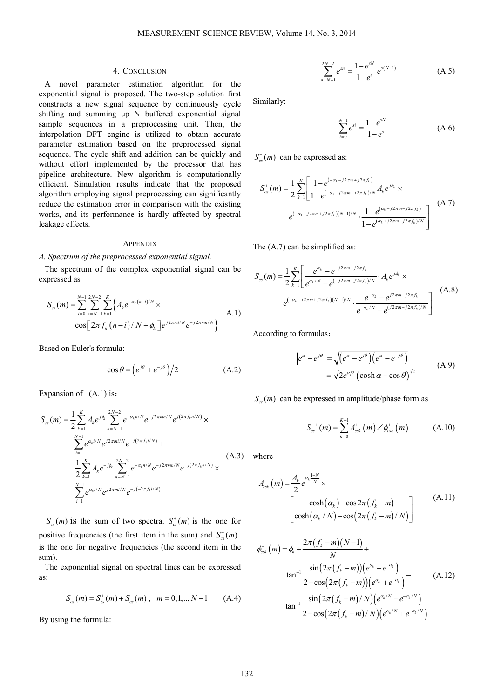### 4. CONCLUSION

A novel parameter estimation algorithm for the exponential signal is proposed. The two-step solution first constructs a new signal sequence by continuously cycle shifting and summing up N buffered exponential signal sample sequences in a preprocessing unit. Then, the interpolation DFT engine is utilized to obtain accurate parameter estimation based on the preprocessed signal sequence. The cycle shift and addition can be quickly and without effort implemented by the processor that has pipeline architecture. New algorithm is computationally efficient. Simulation results indicate that the proposed algorithm employing signal preprocessing can significantly reduce the estimation error in comparison with the existing works, and its performance is hardly affected by spectral leakage effects.

#### **APPENDIX**

#### *A. Spectrum of the preprocessed exponential signal.*

The spectrum of the complex exponential signal can be expressed as

$$
S_{cs}(m) = \sum_{i=0}^{N-1} \sum_{n=N-1}^{2N-2} \sum_{k=1}^{K} \left\{ A_k e^{-\alpha_k (n-i)/N} \times \cos \left[ 2\pi f_k (n-i) / N + \phi_k \right] e^{j2\pi m i/N} e^{-j2\pi m n/N} \right\}
$$
 A.1)

Based on Euler's formula:

$$
\cos \theta = \left(e^{j\theta} + e^{-j\theta}\right)/2\tag{A.2}
$$

Expansion of  $(A.1)$  is:

$$
S_{cs}(m) = \frac{1}{2} \sum_{k=1}^{K} A_k e^{j\phi_k} \sum_{n=N-1}^{2N-2} e^{-\alpha_k n/N} e^{-j2\pi mn/N} e^{j(2\pi f_k n/N)} \times
$$
  

$$
\sum_{i=1}^{N-1} e^{\alpha_k i/N} e^{j2\pi mi/N} e^{-j(2\pi f_k i/N)} +
$$
  

$$
\frac{1}{2} \sum_{k=1}^{K} A_k e^{-j\phi_k} \sum_{n=N-1}^{2N-2} e^{-\alpha_k n/N} e^{-j2\pi mn/N} e^{-j(2\pi f_k n/N)} \times
$$
  

$$
\sum_{i=1}^{N-1} e^{\alpha_k i/N} e^{j2\pi mi/N} e^{-j(-2\pi f_k i/N)}
$$
 (A.3)

 $S_{cs}(m)$  is the sum of two spectra.  $S_{cs}(m)$  is the one for positive frequencies (the first item in the sum) and  $S_{cs}^-(m)$ is the one for negative frequencies (the second item in the sum).

The exponential signal on spectral lines can be expressed as:

$$
S_{cs}(m) = S_{cs}^+(m) + S_{cs}^-(m) , \quad m = 0, 1, ..., N-1 \quad (A.4)
$$

By using the formula:

$$
\sum_{n=N-1}^{2N-2} e^{sn} = \frac{1-e^{sN}}{1-e^s} e^{s(N-1)}
$$
 (A.5)

Similarly:

$$
\sum_{i=0}^{N-1} e^{si} = \frac{1 - e^{sN}}{1 - e^s}
$$
 (A.6)

 $S_{cs}^+(m)$  can be expressed as:

$$
S_{cs}^{+}(m) = \frac{1}{2} \sum_{k=1}^{K} \left[ \frac{1 - e^{(-\alpha_k - j2\pi m + j2\pi f_k)}}{1 - e^{(-\alpha_k - j2\pi m + j2\pi f_k)/N}} A_k e^{j\phi_k} \times \right. \\
\left. e^{(-\alpha_k - j2\pi m + j2\pi f_k)(N-1)/N} \cdot \frac{1 - e^{(\alpha_k + j2\pi m - j2\pi f_k)}}{1 - e^{(\alpha_k + j2\pi m - j2\pi f_k)/N}} \right] \tag{A.7}
$$

The (A.7) can be simplified as:

$$
S_{cs}^{+}(m) = \frac{1}{2} \sum_{k=1}^{K} \left[ \frac{e^{\alpha_k} - e^{-j2\pi m + j2\pi f_k}}{e^{\alpha_k/N} - e^{(-j2\pi m + j2\pi f_k)/N}} \cdot A_k e^{j\phi_k} \times \right. \\
\left. e^{(-\alpha_k - j2\pi m + j2\pi f_k)(N-1)/N} \cdot \frac{e^{-\alpha_k} - e^{j2\pi m - j2\pi f_k}}{e^{-\alpha_k/N} - e^{(j2\pi m - j2\pi f_k)/N}} \right] \tag{A.8}
$$

According to formulas:

$$
\left| e^{\alpha} - e^{j\theta} \right| = \sqrt{\left( e^{\alpha} - e^{j\theta} \right) \left( e^{\alpha} - e^{-j\theta} \right)}
$$
  
=  $\sqrt{2} e^{\alpha/2} \left( \cosh \alpha - \cos \theta \right)^{1/2}$  (A.9)

 $S_{cs}^{+}(m)$  can be expressed in amplitude/phase form as

$$
S_{cs}^{+}(m) = \sum_{k=0}^{K-1} A_{csk}^{+}(m) \angle \phi_{csk}^{+}(m)
$$
 (A.10)

(A.3) where

$$
A_{\text{csk}}^{+}(m) = \frac{A_k}{2} e^{\alpha_k \frac{1-N}{N}} \times \left[ \frac{\cosh(\alpha_k) - \cos 2\pi (f_k - m)}{\cosh(\alpha_k / N) - \cos (2\pi (f_k - m) / N)} \right]
$$
(A.11)

$$
\phi_{csk}^{+}(m) = \phi_k + \frac{2\pi (f_k - m)(N - 1)}{N} + \tan^{-1} \frac{\sin(2\pi (f_k - m))(e^{\alpha_k} - e^{-\alpha_k})}{2 - \cos(2\pi (f_k - m))(e^{\alpha_k} + e^{-\alpha_k})} - \tan^{-1} \frac{\sin(2\pi (f_k - m)/N)(e^{\alpha_k/N} - e^{-\alpha_k/N})}{2 - \cos(2\pi (f_k - m)/N)(e^{\alpha_k/N} + e^{-\alpha_k/N})}
$$
\n(A.12)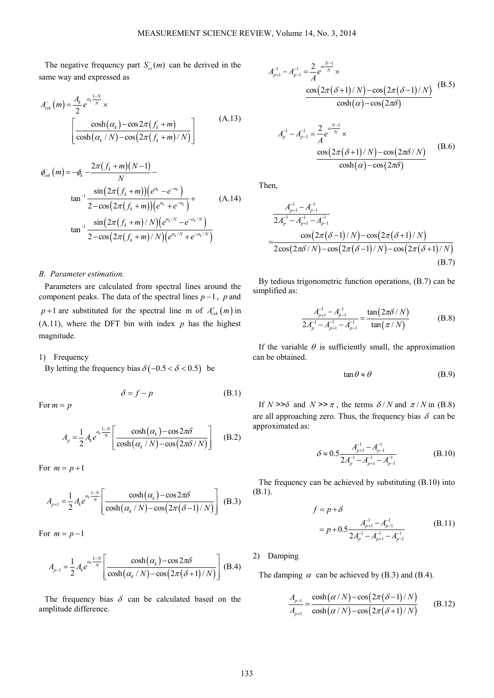The negative frequency part  $S_{cs}^{-}(m)$  can be derived in the same way and expressed as

$$
A_{\text{csk}}^{-}(m) = \frac{A_k}{2} e^{\alpha_k \frac{1-N}{N}} \times \left[ \frac{\cosh(\alpha_k) - \cos 2\pi (f_k + m)}{\cosh(\alpha_k / N) - \cos (2\pi (f_k + m) / N)} \right]
$$
(A.13)

$$
\phi_{\rm csk}^{-}(m) = -\phi_k - \frac{2\pi (f_k + m)(N-1)}{N} - \tan^{-1} \frac{\sin(2\pi (f_k + m))(e^{\alpha_k} - e^{-\alpha_k})}{2 - \cos(2\pi (f_k + m))(e^{\alpha_k} + e^{-\alpha_k})} + \tan^{-1} \frac{\sin(2\pi (f_k + m)/N)(e^{\alpha_k/N} - e^{-\alpha_k/N})}{2 - \cos(2\pi (f_k + m)/N)(e^{\alpha_k/N} + e^{-\alpha_k/N})}
$$
\n(A.14)

#### *B. Parameter estimation.*

Parameters are calculated from spectral lines around the component peaks. The data of the spectral lines *p* −1, *p* and  $p+1$  are substituted for the spectral line m of  $A_{csk}^+(m)$  in  $(A.11)$ , where the DFT bin with index  $p$  has the highest magnitude.

1) Frequency

By letting the frequency bias  $\delta(-0.5 < \delta < 0.5)$  be

$$
\delta = f - p \tag{B.1}
$$

For  $m = p$ 

$$
A_p = \frac{1}{2} A_k e^{\alpha_k \frac{1-N}{N}} \left[ \frac{\cosh(\alpha_k) - \cos 2\pi \delta}{\cosh(\alpha_k / N) - \cos(2\pi \delta / N)} \right]
$$
 (B.2)

For  $m = p + 1$ 

$$
A_{p+1} = \frac{1}{2} A_k e^{\alpha_k \frac{1-N}{N}} \left[ \frac{\cosh(\alpha_k) - \cos 2\pi \delta}{\cosh(\alpha_k/N) - \cos(2\pi (\delta - 1)/N)} \right] (B.3)
$$

For  $m = p - 1$ 

$$
A_{p-1} = \frac{1}{2} A_k e^{\alpha_k \frac{1-N}{N}} \left[ \frac{\cosh(\alpha_k) - \cos 2\pi \delta}{\cosh(\alpha_k/N) - \cos(2\pi (\delta + 1)/N)} \right] (B.4)
$$

The frequency bias  $\delta$  can be calculated based on the amplitude difference.

$$
A_{p+1}^{-1} - A_{p-1}^{-1} = \frac{2}{A} e^{\alpha \frac{N-1}{N}} \times \frac{\cos(2\pi (\delta + 1)/N) - \cos(2\pi (\delta - 1)/N)}{\cosh(\alpha) - \cos(2\pi \delta)} \quad (B.5)
$$

$$
A_{p}^{-1} - A_{p-1}^{-1} = \frac{2}{A} e^{\alpha \frac{N-1}{N}} \times \frac{\cos(2\pi(\delta+1)/N) - \cos(2\pi\delta/N)}{\cosh(\alpha) - \cos(2\pi\delta)}
$$
(B.6)

Then,

$$
\frac{A_{p+1}^{-1} - A_{p-1}^{-1}}{2A_p^{-1} - A_{p+1}^{-1} - A_{p-1}^{-1}}
$$
\n
$$
= \frac{\cos(2\pi(\delta - 1)/N) - \cos(2\pi(\delta + 1)/N)}{2\cos(2\pi\delta/N) - \cos(2\pi(\delta - 1)/N) - \cos(2\pi(\delta + 1)/N)}
$$
\n(B.7)

By tedious trigonometric function operations, (B.7) can be simplified as:

$$
\frac{A_{p+1}^{-1} - A_{p-1}^{-1}}{2A_p^{-1} - A_{p+1}^{-1} - A_{p-1}^{-1}} = \frac{\tan(2\pi\delta/N)}{\tan(\pi/N)}
$$
(B.8)

If the variable  $\theta$  is sufficiently small, the approximation can be obtained.

$$
\tan \theta \approx \theta \tag{B.9}
$$

If  $N \geq \delta$  and  $N \geq \pi$ , the terms  $\delta / N$  and  $\pi / N$  in (B.8) are all approaching zero. Thus, the frequency bias  $\delta$  can be approximated as:

$$
\delta \approx 0.5 \frac{A_{p+1}^{-1} - A_{p-1}^{-1}}{2A_p^{-1} - A_{p+1}^{-1} - A_{p-1}^{-1}}
$$
(B.10)

The frequency can be achieved by substituting (B.10) into (B.1).

$$
f = p + \delta
$$
  
=  $p + 0.5 \frac{A_{p+1}^{-1} - A_{p-1}^{-1}}{2A_p^{-1} - A_{p+1}^{-1} - A_{p-1}^{-1}}$  (B.11)

# 2) Damping

The damping  $\alpha$  can be achieved by (B.3) and (B.4).

$$
\frac{A_{p-1}}{A_{p+1}} = \frac{\cosh(\alpha/N) - \cos(2\pi(\delta - 1)/N)}{\cosh(\alpha/N) - \cos(2\pi(\delta + 1)/N)}\tag{B.12}
$$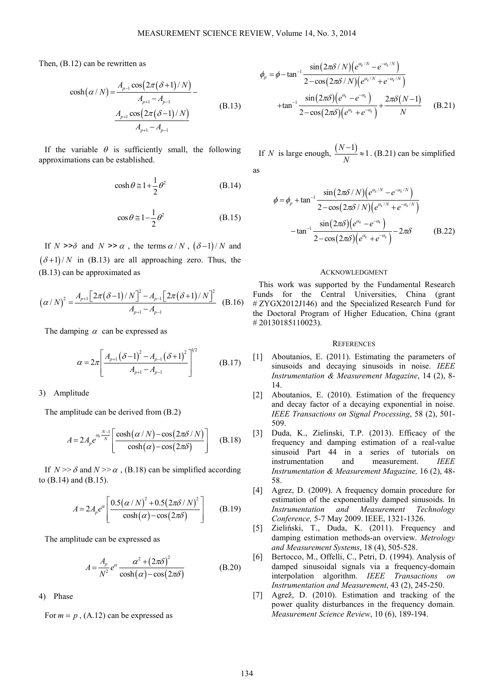Then, (B.12) can be rewritten as

$$
\cosh(\alpha/N) = \frac{A_{p-1}\cos(2\pi(\delta+1)/N)}{A_{p+1} - A_{p-1}} - \frac{A_{p+1}\cos(2\pi(\delta-1)/N)}{A_{p+1} - A_{p-1}}
$$
(B.13)

If the variable  $\theta$  is sufficiently small, the following approximations can be established.

$$
\cosh \theta \approx 1 + \frac{1}{2} \theta^2 \tag{B.14}
$$

$$
\cos \theta \approx 1 - \frac{1}{2} \theta^2 \tag{B.15}
$$

If *N* >> $\delta$  and *N* >>  $\alpha$ , the terms  $\alpha/N$ ,  $(\delta-1)/N$  and  $(\delta+1)/N$  in (B.13) are all approaching zero. Thus, the (B.13) can be approximated as

$$
\left(\alpha/N\right)^{2} = \frac{A_{p+1}\left[2\pi(\delta-1)/N\right]^{2} - A_{p-1}\left[2\pi(\delta+1)/N\right]^{2}}{A_{p+1} - A_{p-1}} \quad (B.16)
$$

The damping  $\alpha$  can be expressed as

$$
\alpha = 2\pi \left[ \frac{A_{p+1} (\delta - 1)^2 - A_{p-1} (\delta + 1)^2}{A_{p+1} - A_{p-1}} \right]^{1/2}
$$
 (B.17)

3) Amplitude

The amplitude can be derived from (B.2)

$$
A = 2A_p e^{a_k \frac{N-1}{N}} \left[ \frac{\cosh(\alpha/N) - \cos(2\pi\delta/N)}{\cosh(\alpha) - \cos(2\pi\delta)} \right]
$$
 (B.18)

If  $N \gg \delta$  and  $N \gg \alpha$ . (B.18) can be simplified according to (B.14) and (B.15).

$$
A = 2A_{p}e^{\alpha} \left[ \frac{0.5(\alpha/N)^{2} + 0.5(2\pi\delta/N)^{2}}{\cosh(\alpha) - \cos(2\pi\delta)} \right]
$$
(B.19)

The amplitude can be expressed as

$$
A = \frac{A_p}{N^2} e^{\alpha} \frac{\alpha^2 + (2\pi\delta)^2}{\cosh(\alpha) - \cos(2\pi\delta)}
$$
(B.20)

4) Phase

For  $m = p$ , (A.12) can be expressed as

$$
\phi_p = \phi - \tan^{-1} \frac{\sin(2\pi\delta/N) \left(e^{\alpha_k/N} - e^{-\alpha_k/N}\right)}{2 - \cos(2\pi\delta/N) \left(e^{\alpha_k/N} + e^{-\alpha_k/N}\right)}
$$
  
+
$$
\tan^{-1} \frac{\sin(2\pi\delta) \left(e^{\alpha_k} - e^{-\alpha_k}\right)}{2 - \cos(2\pi\delta) \left(e^{\alpha_k} + e^{-\alpha_k}\right)} + \frac{2\pi\delta(N-1)}{N}
$$
(B.21)

If *N* is large enough,  $\frac{(N-1)}{N} \approx 1$ *N*  $\frac{-1}{\sqrt{2}} \approx 1$ . (B.21) can be simplified

as

$$
\phi = \phi_p + \tan^{-1} \frac{\sin(2\pi\delta/N) (e^{\alpha_k/N} - e^{-\alpha_k/N})}{2 - \cos(2\pi\delta/N) (e^{\alpha_k/N} + e^{-\alpha_k/N})}
$$

$$
-\tan^{-1} \frac{\sin(2\pi\delta) (e^{\alpha_k} - e^{-\alpha_k})}{2 - \cos(2\pi\delta) (e^{\alpha_k} + e^{-\alpha_k})} - 2\pi\delta
$$
(B.22)

#### ACKNOWLEDGMENT

This work was supported by the Fundamental Research Funds for the Central Universities, China (grant # ZYGX2012J146) and the Specialized Research Fund for the Doctoral Program of Higher Education, China (grant # 20130185110023).

#### **REFERENCES**

- [1] Aboutanios, E. (2011). Estimating the parameters of sinusoids and decaying sinusoids in noise. *IEEE Instrumentation & Measurement Magazine*, 14 (2), 8- 14.
- [2] Aboutanios, E. (2010). Estimation of the frequency and decay factor of a decaying exponential in noise. *IEEE Transactions on Signal Processing*, 58 (2), 501- 509.
- [3] Duda, K., Zielinski, T.P. (2013). Efficacy of the frequency and damping estimation of a real-value sinusoid Part 44 in a series of tutorials on instrumentation and measurement. *IEEE Instrumentation & Measurement Magazine,* 16 (2), 48- 58.
- [4] Agrez, D. (2009). A frequency domain procedure for estimation of the exponentially damped sinusoids. In *Instrumentation and Measurement Technology Conference,* 5-7 May 2009. IEEE, 1321-1326.
- [5] Zieliński, T., Duda, K. (2011). Frequency and damping estimation methods-an overview. *Metrology and Measurement Systems*, 18 (4), 505-528.
- [6] Bertocco, M., Offelli, C., Petri, D. (1994). Analysis of damped sinusoidal signals via a frequency-domain interpolation algorithm. *IEEE Transactions on Instrumentation and Measurement*, 43 (2), 245-250.
- [7] Agrež, D. (2010). Estimation and tracking of the power quality disturbances in the frequency domain. *Measurement Science Review*, 10 (6), 189-194.